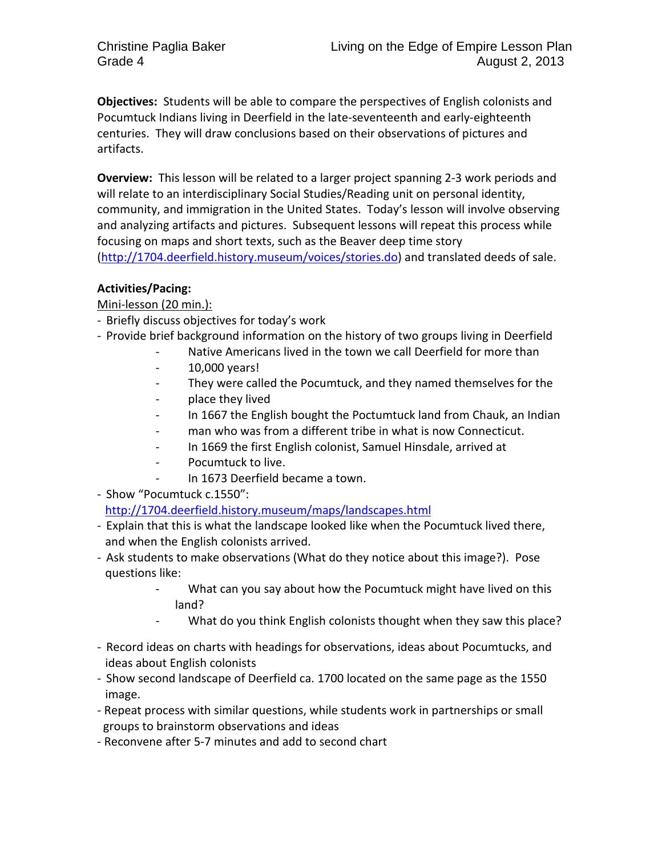**Objectives:** Students will be able to compare the perspectives of English colonists and Pocumtuck Indians living in Deerfield in the late-seventeenth and early-eighteenth centuries. They will draw conclusions based on their observations of pictures and artifacts.

**Overview:** This lesson will be related to a larger project spanning 2-3 work periods and will relate to an interdisciplinary Social Studies/Reading unit on personal identity, community, and immigration in the United States. Today's lesson will involve observing and analyzing artifacts and pictures. Subsequent lessons will repeat this process while focusing on maps and short texts, such as the Beaver deep time story [\(http://1704.deerfield.history.museum/voices/stories.do\)](http://1704.deerfield.history.museum/voices/stories.do) and translated deeds of sale.

## **Activities/Pacing:**

Mini-lesson (20 min.):

- Briefly discuss objectives for today's work
- Provide brief background information on the history of two groups living in Deerfield
	- Native Americans lived in the town we call Deerfield for more than
		- 10,000 years!
		- They were called the Pocumtuck, and they named themselves for the
		- place they lived
		- In 1667 the English bought the Poctumtuck land from Chauk, an Indian
		- man who was from a different tribe in what is now Connecticut.
		- In 1669 the first English colonist, Samuel Hinsdale, arrived at
		- Pocumtuck to live.
		- In 1673 Deerfield became a town.

- Show "Pocumtuck c.1550": <http://1704.deerfield.history.museum/maps/landscapes.html>

- Explain that this is what the landscape looked like when the Pocumtuck lived there, and when the English colonists arrived.
- Ask students to make observations (What do they notice about this image?). Pose questions like:
	- What can you say about how the Pocumtuck might have lived on this land?
	- What do you think English colonists thought when they saw this place?
- Record ideas on charts with headings for observations, ideas about Pocumtucks, and ideas about English colonists
- Show second landscape of Deerfield ca. 1700 located on the same page as the 1550 image.
- Repeat process with similar questions, while students work in partnerships or small groups to brainstorm observations and ideas
- Reconvene after 5-7 minutes and add to second chart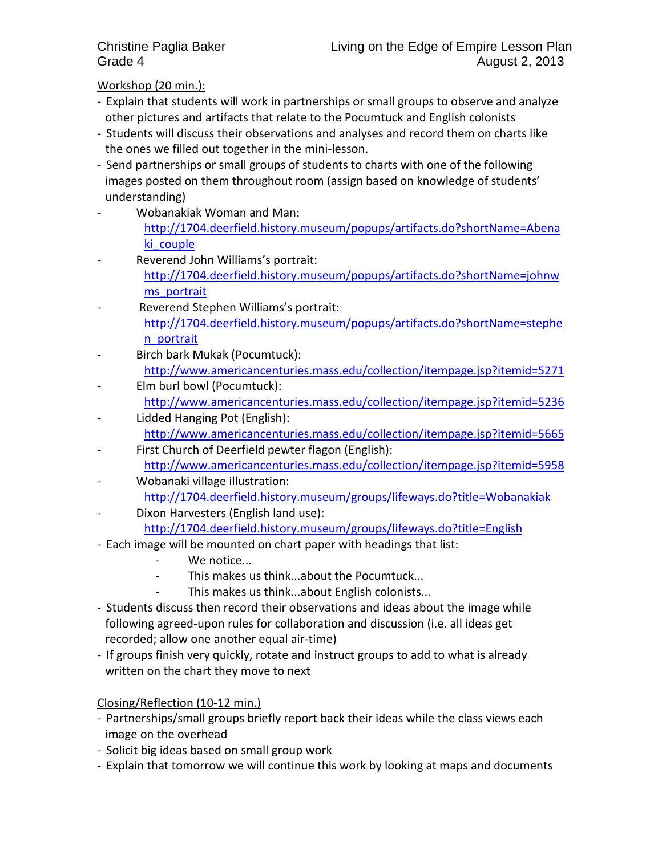Workshop (20 min.):

- Explain that students will work in partnerships or small groups to observe and analyze other pictures and artifacts that relate to the Pocumtuck and English colonists
- Students will discuss their observations and analyses and record them on charts like the ones we filled out together in the mini-lesson.
- Send partnerships or small groups of students to charts with one of the following images posted on them throughout room (assign based on knowledge of students' understanding)
- Wobanakiak Woman and Man: [http://1704.deerfield.history.museum/popups/artifacts.do?shortName=Abena](http://1704.deerfield.history.museum/popups/artifacts.do?shortName=Abenaki_couple) ki couple
- Reverend John Williams's portrait: [http://1704.deerfield.history.museum/popups/artifacts.do?shortName=johnw](http://1704.deerfield.history.museum/popups/artifacts.do?shortName=johnwms_portrait) [ms\\_portrait](http://1704.deerfield.history.museum/popups/artifacts.do?shortName=johnwms_portrait)
- Reverend Stephen Williams's portrait: [http://1704.deerfield.history.museum/popups/artifacts.do?shortName=stephe](http://1704.deerfield.history.museum/popups/artifacts.do?shortName=stephen_portrait) [n\\_portrait](http://1704.deerfield.history.museum/popups/artifacts.do?shortName=stephen_portrait)
- Birch bark Mukak (Pocumtuck): <http://www.americancenturies.mass.edu/collection/itempage.jsp?itemid=5271>
- Elm burl bowl (Pocumtuck): <http://www.americancenturies.mass.edu/collection/itempage.jsp?itemid=5236>
- Lidded Hanging Pot (English): <http://www.americancenturies.mass.edu/collection/itempage.jsp?itemid=5665>
- First Church of Deerfield pewter flagon (English): <http://www.americancenturies.mass.edu/collection/itempage.jsp?itemid=5958>
- Wobanaki village illustration: <http://1704.deerfield.history.museum/groups/lifeways.do?title=Wobanakiak>
- Dixon Harvesters (English land use): <http://1704.deerfield.history.museum/groups/lifeways.do?title=English>
- Each image will be mounted on chart paper with headings that list:
	- We notice...
	- This makes us think...about the Pocumtuck...
	- This makes us think...about English colonists...
- Students discuss then record their observations and ideas about the image while following agreed-upon rules for collaboration and discussion (i.e. all ideas get recorded; allow one another equal air-time)
- If groups finish very quickly, rotate and instruct groups to add to what is already written on the chart they move to next

Closing/Reflection (10-12 min.)

- Partnerships/small groups briefly report back their ideas while the class views each image on the overhead
- Solicit big ideas based on small group work
- Explain that tomorrow we will continue this work by looking at maps and documents